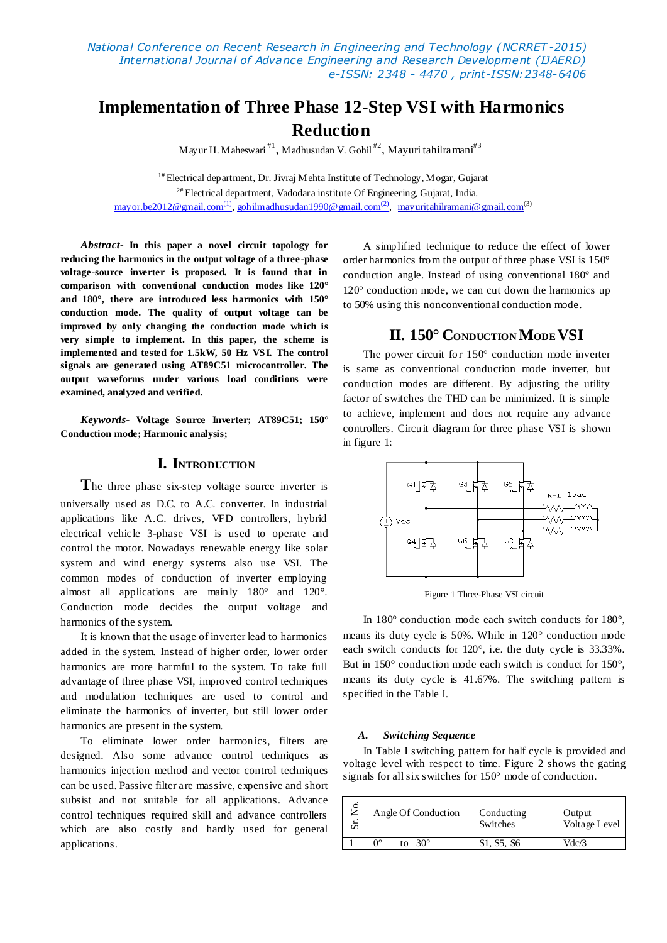*National Conference on Recent Research in Engineering and Technology (NCRRET -2015) International Journal of Advance Engineering and Research Development (IJAERD) e-ISSN: 2348 - 4470 , print-ISSN:2348-6406*

# **Implementation of Three Phase 12-Step VSI with Harmonics Reduction**

Mayur H. Maheswari $^{\text{\#1}}$ , Madhusudan V. Gohil $^{\text{\#2}}$ , Mayuri tahilra $\text{mani}^{\text{\#3}}$ 

<sup>1#</sup> Electrical department, Dr. Jivraj Mehta Institute of Technology, Mogar, Gujarat  $^{2#}$  Electrical department, Vadodara institute Of Engineering, Gujarat, India. <u>may or.be2012@gmail.com<sup>(1)</sup>, goh ilmadhusudan1990@gmail.com<sup>(2)</sup>, may uritahilramani@gmail.com<sup>(3)</sup></u>

*Abstract-* **In this paper a novel circuit topology for reducing the harmonics in the output voltage of a three-phase voltage-source inverter is proposed. It is found that in comparison with conventional conduction modes like 120° and 180°, there are introduced less harmonics with 150° conduction mode. The quality of output voltage can be improved by only changing the conduction mode which is very simple to implement. In this paper, the scheme is implemented and tested for 1.5kW, 50 Hz VSI. The control signals are generated using AT89C51 microcontroller. The output waveforms under various load conditions were examined, analyzed and verified.**

*Keywords-* **Voltage Source Inverter; AT89C51; 150° Conduction mode; Harmonic analysis;** 

# **I. INTRODUCTION**

**T**he three phase six-step voltage source inverter is universally used as D.C. to A.C. converter. In industrial applications like A.C. drives, VFD controllers, hybrid electrical vehicle 3-phase VSI is used to operate and control the motor. Nowadays renewable energy like solar system and wind energy systems also use VSI. The common modes of conduction of inverter employing almost all applications are mainly 180° and 120°. Conduction mode decides the output voltage and harmonics of the system.

It is known that the usage of inverter lead to harmonics added in the system. Instead of higher order, lower order harmonics are more harmful to the system. To take full advantage of three phase VSI, improved control techniques and modulation techniques are used to control and eliminate the harmonics of inverter, but still lower order harmonics are present in the system.

To eliminate lower order harmonics, filters are designed. Also some advance control techniques as harmonics injection method and vector control techniques can be used. Passive filter are massive, expensive and short subsist and not suitable for all applications. Advance control techniques required skill and advance controllers which are also costly and hardly used for general applications.

A simplified technique to reduce the effect of lower order harmonics from the output of three phase VSI is 150° conduction angle. Instead of using conventional 180° and 120° conduction mode, we can cut down the harmonics up to 50% using this nonconventional conduction mode.

# **II. 150° CONDUCTION MODEVSI**

The power circuit for 150° conduction mode inverter is same as conventional conduction mode inverter, but conduction modes are different. By adjusting the utility factor of switches the THD can be minimized. It is simple to achieve, implement and does not require any advance controllers. Circuit diagram for three phase VSI is shown in figure 1:



Figure 1 Three-Phase VSI circuit

In 180° conduction mode each switch conducts for 180°, means its duty cycle is 50%. While in 120° conduction mode each switch conducts for 120°, i.e. the duty cycle is 33.33%. But in 150° conduction mode each switch is conduct for 150°, means its duty cycle is 41.67%. The switching pattern is specified in the Table Ι.

#### *A. Switching Sequence*

In Table Ι switching pattern for half cycle is provided and voltage level with respect to time. Figure 2 shows the gating signals for all six switches for 150° mode of conduction.

| $\circ$ | Angle Of Conduction | Conducting | Output        |
|---------|---------------------|------------|---------------|
| £.      |                     | Switches   | Voltage Level |
|         | ∩∘<br>ുറ∘<br>tΩ     | S1, S5, S6 | Vdc/3         |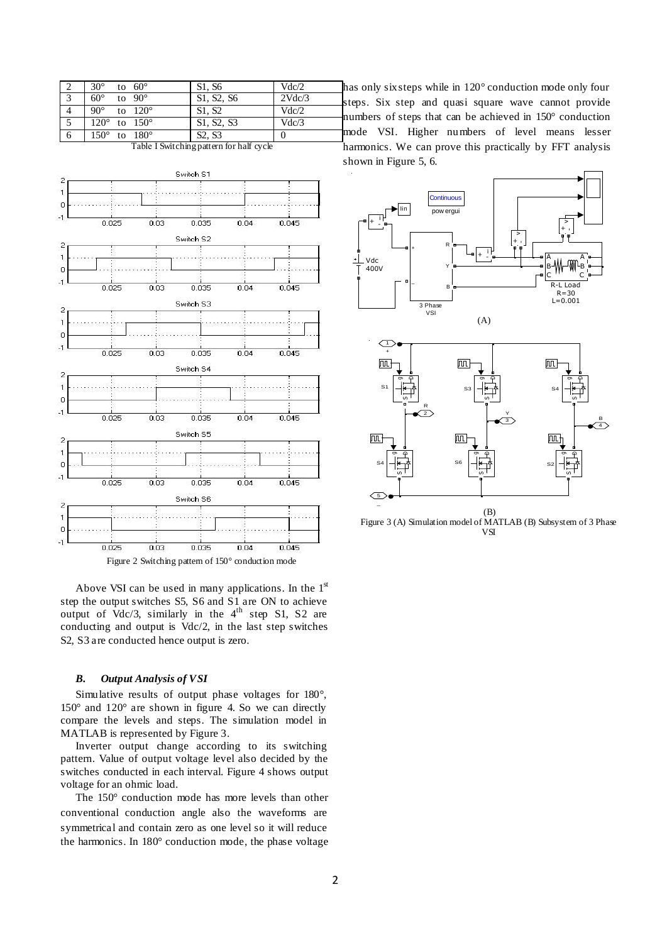| $30^\circ$<br>to $60^\circ$    | S1, S6                          | Vdc/2  | h |
|--------------------------------|---------------------------------|--------|---|
| $60^\circ$<br>to $90^\circ$    | S1, S2, S6                      | 2Vdc/3 |   |
| $90^\circ$<br>to $120^\circ$   | S1, S2                          | Vdc/2  |   |
| $120^{\circ}$ to $150^{\circ}$ | S1, S2, S3                      | Vdc/3  |   |
| $150^\circ$ to $180^\circ$     | S <sub>2</sub> , S <sub>3</sub> |        |   |

Table Ι Switching pattern for half cycle



Figure 2 Switching pattern of 150° conduction mode

Above VSI can be used in many applications. In the  $1<sup>st</sup>$ step the output switches S5, S6 and S1 are ON to achieve output of  $Vdc/3$ , similarly in the  $4<sup>th</sup>$  step S1, S2 are conducting and output is Vdc/2, in the last step switches S2, S3 are conducted hence output is zero.

### *B. Output Analysis of VSI*

Simulative results of output phase voltages for 180°, 150° and 120° are shown in figure 4. So we can directly compare the levels and steps. The simulation model in MATLAB is represented by Figure 3.

Inverter output change according to its switching pattern. Value of output voltage level also decided by the switches conducted in each interval. Figure 4 shows output voltage for an ohmic load.

The 150° conduction mode has more levels than other conventional conduction angle also the waveforms are symmetrical and contain zero as one level so it will reduce the harmonics. In 180° conduction mode, the phase voltage

has only six steps while in 120° conduction mode only four steps. Six step and quasi square wave cannot provide numbers of steps that can be achieved in 150° conduction mode VSI. Higher numbers of level means lesser harmonics. We can prove this practically by FFT analysis shown in Figure 5, 6.



(B) Figure 3 (A) Simulation model of MATLAB (B) Subsystem of 3 Phase VSI

5  $\overline{a}$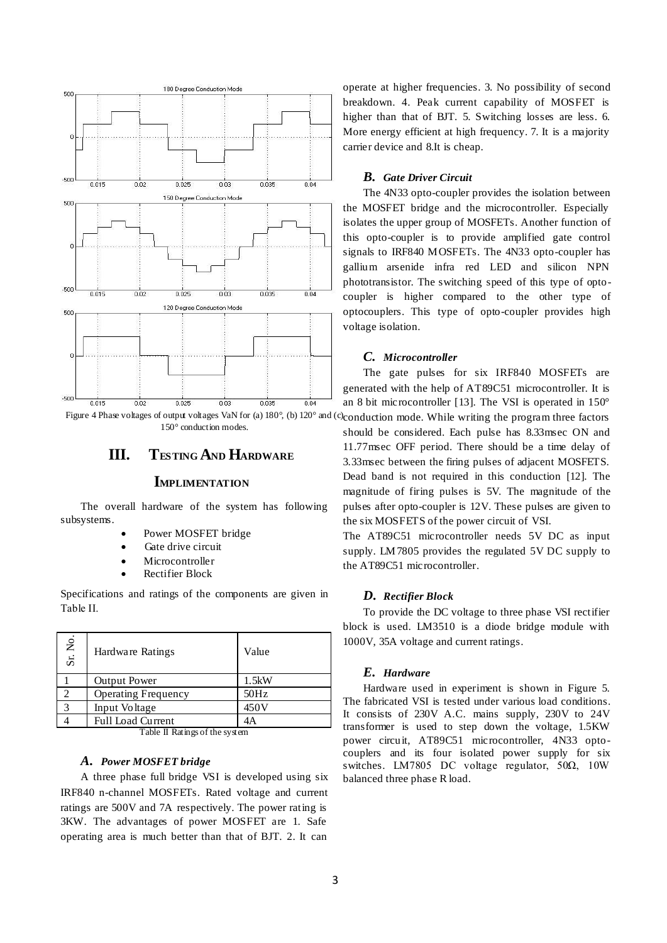

150° conduction modes.

# **III. TESTING AND HARDWARE**

# **IMPLIMENTATION**

The overall hardware of the system has following subsystems.

- Power MOSFET bridge
- Gate drive circuit
- Microcontroller
- Rectifier Block

Specifications and ratings of the components are given in Table ΙΙ.

| Sr. No.       | Hardware Ratings           | Value |
|---------------|----------------------------|-------|
|               | <b>Output Power</b>        | 1.5kW |
| $\mathcal{D}$ | <b>Operating Frequency</b> | 50Hz  |
| 3             | Input Voltage              | 450V  |
|               | Full Load Current          | 4Α    |

Table ΙΙ Ratings of the system

#### *A. Power MOSFET bridge*

A three phase full bridge VSI is developed using six IRF840 n-channel MOSFETs. Rated voltage and current ratings are 500V and 7A respectively. The power rating is 3KW. The advantages of power MOSFET are 1. Safe operating area is much better than that of BJT. 2. It can

operate at higher frequencies. 3. No possibility of second breakdown. 4. Peak current capability of MOSFET is higher than that of BJT. 5. Switching losses are less. 6. More energy efficient at high frequency. 7. It is a majority carrier device and 8.It is cheap.

### *B. Gate Driver Circuit*

The 4N33 opto-coupler provides the isolation between the MOSFET bridge and the microcontroller. Especially isolates the upper group of MOSFETs. Another function of this opto-coupler is to provide amplified gate control signals to IRF840 MOSFETs. The 4N33 opto-coupler has gallium arsenide infra red LED and silicon NPN phototransistor. The switching speed of this type of optocoupler is higher compared to the other type of optocouplers. This type of opto-coupler provides high voltage isolation.

#### *C. Microcontroller*

The gate pulses for six IRF840 MOSFETs are generated with the help of AT89C51 microcontroller. It is an 8 bit microcontroller [13]. The VSI is operated in 150°

Figure 4 Phase voltages of output voltages VaN for (a) 180°, (b) 120° and (c) conduction mode. While writing the program three factors should be considered. Each pulse has 8.33msec ON and 11.77msec OFF period. There should be a time delay of 3.33msec between the firing pulses of adjacent MOSFETS. Dead band is not required in this conduction [12]. The magnitude of firing pulses is 5V. The magnitude of the pulses after opto-coupler is 12V. These pulses are given to the six MOSFETS of the power circuit of VSI.

> The AT89C51 microcontroller needs 5V DC as input supply. LM7805 provides the regulated 5V DC supply to the AT89C51 microcontroller.

#### *D. Rectifier Block*

To provide the DC voltage to three phase VSI rectifier block is used. LM3510 is a diode bridge module with 1000V, 35A voltage and current ratings.

# *E. Hardware*

Hardware used in experiment is shown in Figure 5. The fabricated VSI is tested under various load conditions. It consists of 230V A.C. mains supply, 230V to 24V transformer is used to step down the voltage, 1.5KW power circuit, AT89C51 microcontroller, 4N33 optocouplers and its four isolated power supply for six switches. LM7805 DC voltage regulator, 50Ω, 10W balanced three phase R load.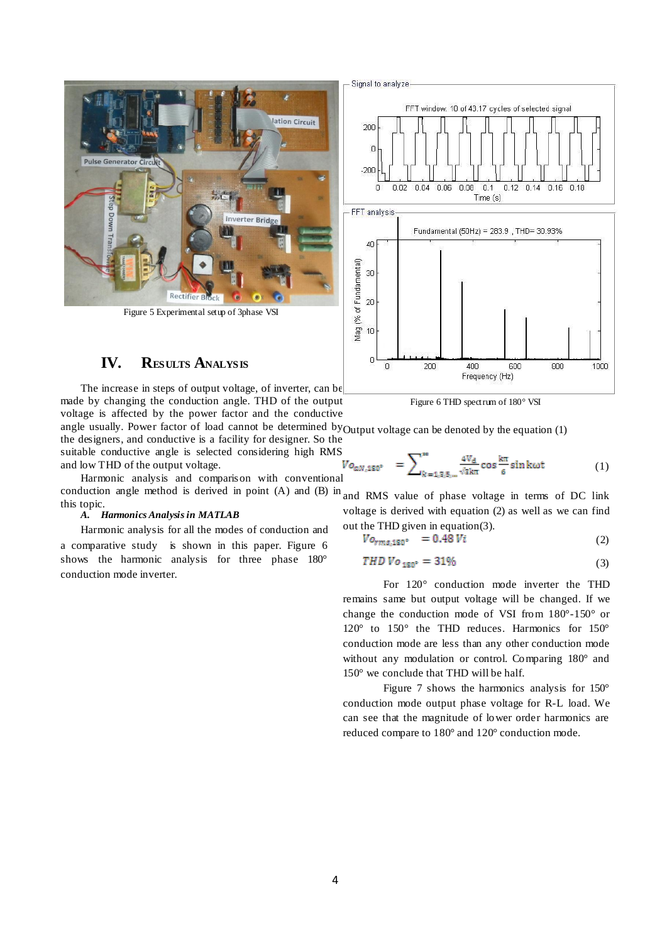

Figure 5 Experimental setup of 3phase VSI

# **IV. RESULTS ANALYSIS**

The increase in steps of output voltage, of inverter, can be made by changing the conduction angle. THD of the output voltage is affected by the power factor and the conductive

angle usually. Power factor of load cannot be determined by Output voltage can be denoted by the equation (1) the designers, and conductive is a facility for designer. So the

suitable conductive angle is selected considering high RMS<br>and low THD of the output voltage.<br>Harmonic analysis and comparison with convention  $V_0$  and  $V_0$  and  $V_0$  and comparison with convention  $V_0$  and  $V_0$  and and low THD of the output voltage. Harmonic analysis and comparison with conventional

conduction angle method is derived in point  $(A)$  and  $(B)$  in and RMS value of phase voltage in terms of DC link this topic.

# *A. Harmonics Analysis in MATLAB*

Harmonic analysis for all the modes of conduction and a comparative study is shown in this paper. Figure 6 shows the harmonic analysis for three phase 180° conduction mode inverter.



Figure 6 THD spectrum of 180° VSI

(1)

voltage is derived with equation (2) as well as we can find out the THD given in equation(3).

$$
Vo_{rms,180^{\circ}} = 0.48 Vi \tag{2}
$$

$$
THD\,Vo_{180^\circ} = 31\% \tag{3}
$$

For 120° conduction mode inverter the THD remains same but output voltage will be changed. If we change the conduction mode of VSI from 180°-150° or 120° to 150° the THD reduces. Harmonics for 150° conduction mode are less than any other conduction mode without any modulation or control. Comparing 180° and 150° we conclude that THD will be half.

Figure 7 shows the harmonics analysis for 150° conduction mode output phase voltage for R-L load. We can see that the magnitude of lower order harmonics are reduced compare to 180° and 120° conduction mode.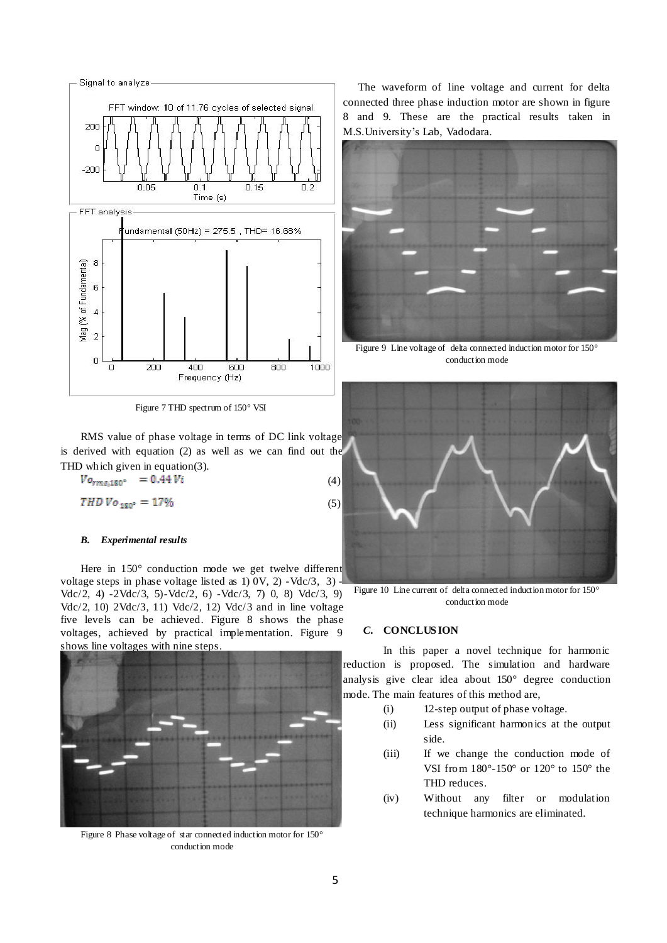

Figure 7 THD spectrum of 150° VSI

RMS value of phase voltage in terms of DC link voltage is derived with equation (2) as well as we can find out the THD which given in equation(3).

 $V_{O_{rms,180^{\circ}}}$  = 0.44  $Vi$ (4)

$$
THD\,Vo_{180^\circ} = 17\% \tag{5}
$$

#### *B. Experimental results*

Here in 150° conduction mode we get twelve different voltage steps in phase voltage listed as 1) 0V, 2) -Vdc/3, 3) - Vdc/2, 4) -2Vdc/3, 5)-Vdc/2, 6) -Vdc/3, 7) 0, 8) Vdc/3, 9) Vdc/2, 10) 2Vdc/3, 11) Vdc/2, 12) Vdc/3 and in line voltage five levels can be achieved. Figure 8 shows the phase voltages, achieved by practical implementation. Figure 9 shows line voltages with nine steps.



Figure 8 Phase voltage of star connected induction motor for 150° conduction mode

The waveform of line voltage and current for delta connected three phase induction motor are shown in figure 8 and 9. These are the practical results taken in M.S.University's Lab, Vadodara.



Figure 9 Line voltage of delta connected induction motor for 150° conduction mode



Figure 10 Line current of delta connected induction motor for 150° conduction mode

# *C.* **CONCLUS ION**

In this paper a novel technique for harmonic reduction is proposed. The simulation and hardware analysis give clear idea about 150° degree conduction mode. The main features of this method are,

- (i) 12-step output of phase voltage.
- (ii) Less significant harmonics at the output side.
- (iii) If we change the conduction mode of VSI from 180°-150° or 120° to 150° the THD reduces.
- (iv) Without any filter or modulation technique harmonics are eliminated.